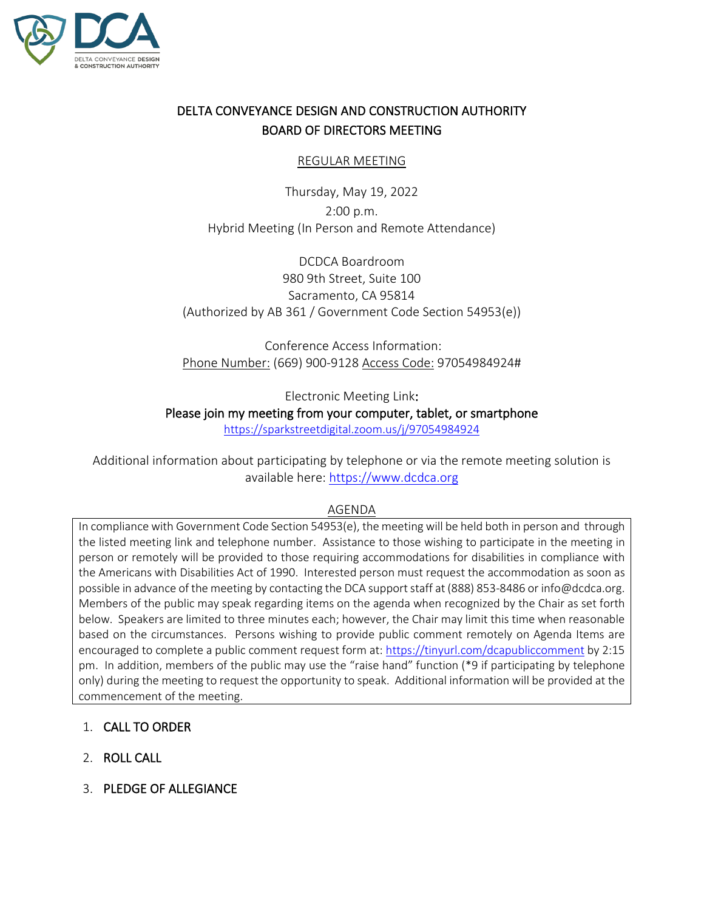

# DELTA CONVEYANCE DESIGN AND CONSTRUCTION AUTHORITY BOARD OF DIRECTORS MEETING

## REGULAR MEETING

Thursday, May 19, 2022 2:00 p.m. Hybrid Meeting (In Person and Remote Attendance)

DCDCA Boardroom 980 9th Street, Suite 100 Sacramento, CA 95814 (Authorized by AB 361 / Government Code Section 54953(e))

Conference Access Information: Phone Number: (669) 900-9128 Access Code: 97054984924#

Electronic Meeting Link:

# Please join my meeting from your computer, tablet, or smartphone

<https://sparkstreetdigital.zoom.us/j/97054984924>

Additional information about participating by telephone or via the remote meeting solution is available here: [https://www.dcdca.org](https://www.dcdca.org/)

#### AGENDA

In compliance with Government Code Section 54953(e), the meeting will be held both in person and through the listed meeting link and telephone number. Assistance to those wishing to participate in the meeting in person or remotely will be provided to those requiring accommodations for disabilities in compliance with the Americans with Disabilities Act of 1990. Interested person must request the accommodation as soon as possible in advance of the meeting by contacting the DCA support staff at (888) 853-8486 or info@dcdca.org. Members of the public may speak regarding items on the agenda when recognized by the Chair as set forth below. Speakers are limited to three minutes each; however, the Chair may limit this time when reasonable based on the circumstances. Persons wishing to provide public comment remotely on Agenda Items are encouraged to complete a public comment request form at[: https://tinyurl.com/dcapubliccomment](https://tinyurl.com/dcapubliccomment) by 2:15 pm. In addition, members of the public may use the "raise hand" function (\*9 if participating by telephone only) during the meeting to request the opportunity to speak. Additional information will be provided at the commencement of the meeting.

- 1. CALL TO ORDER
- 2. ROLL CALL
- 3. PLEDGE OF ALLEGIANCE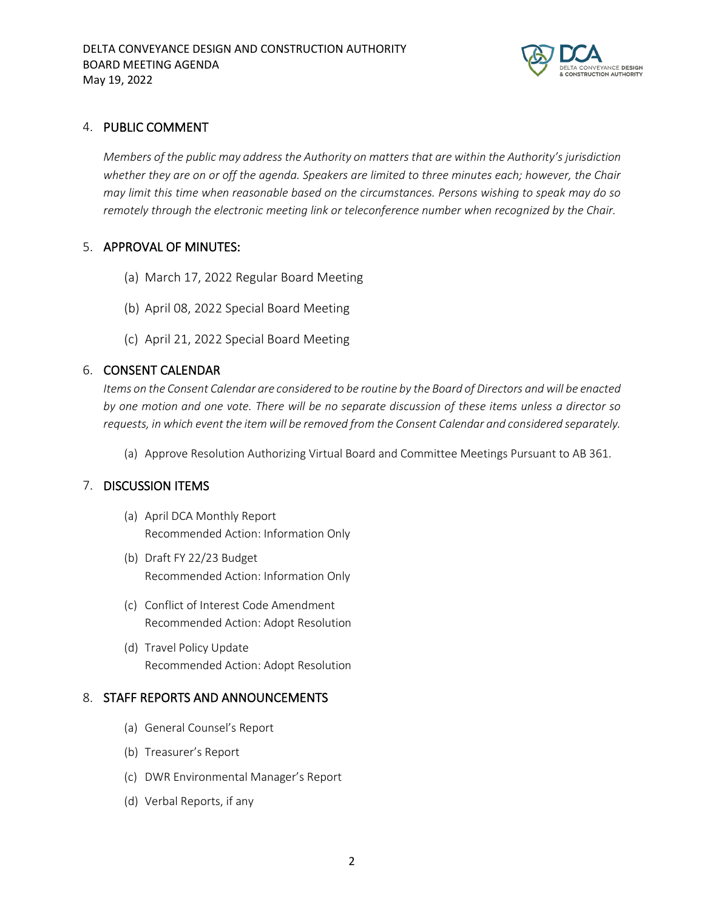

#### 4. PUBLIC COMMENT

*Members of the public may address the Authority on matters that are within the Authority's jurisdiction whether they are on or off the agenda. Speakers are limited to three minutes each; however, the Chair may limit this time when reasonable based on the circumstances. Persons wishing to speak may do so remotely through the electronic meeting link or teleconference number when recognized by the Chair.* 

## 5. APPROVAL OF MINUTES:

- (a) March 17, 2022 Regular Board Meeting
- (b) April 08, 2022 Special Board Meeting
- (c) April 21, 2022 Special Board Meeting

## 6. CONSENT CALENDAR

*Items on the Consent Calendar are considered to be routine by the Board of Directors and will be enacted by one motion and one vote. There will be no separate discussion of these items unless a director so requests, in which event the item will be removed from the Consent Calendar and considered separately.* 

(a) Approve Resolution Authorizing Virtual Board and Committee Meetings Pursuant to AB 361.

# 7. DISCUSSION ITEMS

- (a) April DCA Monthly Report Recommended Action: Information Only
- (b) Draft FY 22/23 Budget Recommended Action: Information Only
- (c) Conflict of Interest Code Amendment Recommended Action: Adopt Resolution
- (d) Travel Policy Update Recommended Action: Adopt Resolution

#### 8. STAFF REPORTS AND ANNOUNCEMENTS

- (a) General Counsel's Report
- (b) Treasurer's Report
- (c) DWR Environmental Manager's Report
- (d) Verbal Reports, if any